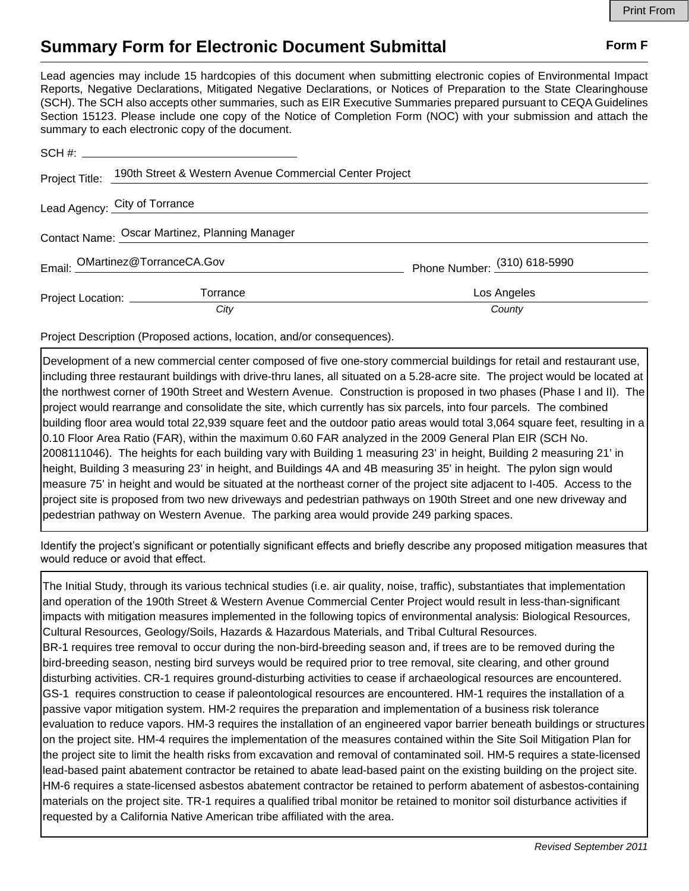## **Summary Form for Electronic Document Submittal Form F Form F**

Lead agencies may include 15 hardcopies of this document when submitting electronic copies of Environmental Impact Reports, Negative Declarations, Mitigated Negative Declarations, or Notices of Preparation to the State Clearinghouse (SCH). The SCH also accepts other summaries, such as EIR Executive Summaries prepared pursuant to CEQA Guidelines Section 15123. Please include one copy of the Notice of Completion Form (NOC) with your submission and attach the summary to each electronic copy of the document.

|                                                | Project Title: 190th Street & Western Avenue Commercial Center Project |                              |
|------------------------------------------------|------------------------------------------------------------------------|------------------------------|
| Lead Agency: City of Torrance                  |                                                                        |                              |
| Contact Name: Oscar Martinez, Planning Manager |                                                                        |                              |
|                                                | Email: OMartinez@TorranceCA.Gov                                        | Phone Number: (310) 618-5990 |
| Project Location: ___________                  | Torrance                                                               | Los Angeles                  |
|                                                | City                                                                   | County                       |

Project Description (Proposed actions, location, and/or consequences).

Development of a new commercial center composed of five one-story commercial buildings for retail and restaurant use, including three restaurant buildings with drive-thru lanes, all situated on a 5.28-acre site. The project would be located at the northwest corner of 190th Street and Western Avenue. Construction is proposed in two phases (Phase I and II). The project would rearrange and consolidate the site, which currently has six parcels, into four parcels. The combined building floor area would total 22,939 square feet and the outdoor patio areas would total 3,064 square feet, resulting in a 0.10 Floor Area Ratio (FAR), within the maximum 0.60 FAR analyzed in the 2009 General Plan EIR (SCH No. 2008111046). The heights for each building vary with Building 1 measuring 23' in height, Building 2 measuring 21' in height, Building 3 measuring 23' in height, and Buildings 4A and 4B measuring 35' in height. The pylon sign would measure 75' in height and would be situated at the northeast corner of the project site adjacent to I-405. Access to the project site is proposed from two new driveways and pedestrian pathways on 190th Street and one new driveway and pedestrian pathway on Western Avenue. The parking area would provide 249 parking spaces.

Identify the project's significant or potentially significant effects and briefly describe any proposed mitigation measures that would reduce or avoid that effect.

The Initial Study, through its various technical studies (i.e. air quality, noise, traffic), substantiates that implementation and operation of the 190th Street & Western Avenue Commercial Center Project would result in less-than-significant impacts with mitigation measures implemented in the following topics of environmental analysis: Biological Resources, Cultural Resources, Geology/Soils, Hazards & Hazardous Materials, and Tribal Cultural Resources. BR-1 requires tree removal to occur during the non-bird-breeding season and, if trees are to be removed during the bird-breeding season, nesting bird surveys would be required prior to tree removal, site clearing, and other ground disturbing activities. CR-1 requires ground-disturbing activities to cease if archaeological resources are encountered. GS-1 requires construction to cease if paleontological resources are encountered. HM-1 requires the installation of a passive vapor mitigation system. HM-2 requires the preparation and implementation of a business risk tolerance evaluation to reduce vapors. HM-3 requires the installation of an engineered vapor barrier beneath buildings or structures on the project site. HM-4 requires the implementation of the measures contained within the Site Soil Mitigation Plan for the project site to limit the health risks from excavation and removal of contaminated soil. HM-5 requires a state-licensed lead-based paint abatement contractor be retained to abate lead-based paint on the existing building on the project site. HM-6 requires a state-licensed asbestos abatement contractor be retained to perform abatement of asbestos-containing materials on the project site. TR-1 requires a qualified tribal monitor be retained to monitor soil disturbance activities if requested by a California Native American tribe affiliated with the area.